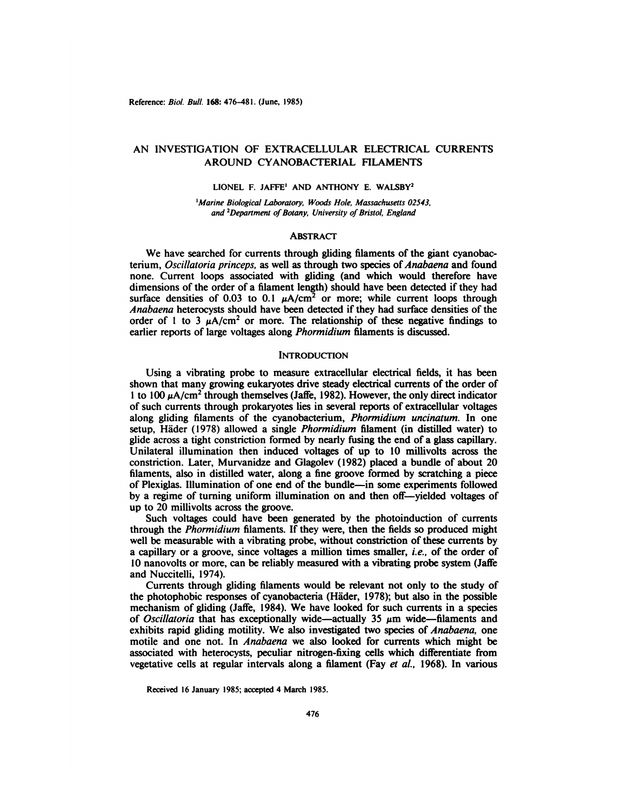# AN INVESTIGATION OF EXTRACELLULAR ELECTRICAL CURRENTS AROUND CYANOBACTERIAL FILAMENTS

LIONEL F. JAFFE' AND ANTHONY E. WALSBY2

<sup>1</sup>Marine Biological Laboratory, Woods Hole, Massachusetts 02543, and <sup>2</sup>Department of Botany, University of Bristol, England

## **ABSTRACT**

We have searched for currents through gliding filaments of the giant cyanobac terium, Oscillatoria princeps, as well as through two species of Anabaena and found none. Current loops associated with gliding (and which would therefore have dimensions of the order of a filament length) should have been detected if they had surface densities of 0.03 to 0.1  $\mu A/cm^2$  or more; while current loops through *Anabaena heterocysts should have been detected if they had surface densities of the* order of 1 to 3  $\mu$ A/cm<sup>2</sup> or more. The relationship of these negative findings to earlier reports of large voltages along Phormidium filaments is discussed.

## **INTRODUCTION**

Using a vibrating probe to measure extracellular electrical fields, it has been shown that many growing eukaryotes drive steady electrical currents of the order of 1 to 100  $\mu$ A/cm<sup>2</sup> through themselves (Jaffe, 1982). However, the only direct indicator of such currents through prokaryotes lies in several reports of extracellular voltages along gliding filaments of the cyanobacterium, Phormidium uncinatum. In one setup, Häder (1978) allowed a single Phormidium filament (in distilled water) to glide across a tight constriction formed by nearly fusing the end of a glass capillary. Unilateral illumination then induced voltages of up to 10 millivolts across the constriction. Later, Murvanidze and Glagolev (1982) placed a bundle of about 20 filaments, also in distilled water, along a fine groove formed by scratching a piece of Plexiglas. Illumination of one end ofthe bundle—in some experiments followed by a regime of turning uniform illumination on and then off--yielded voltages of up to 20 millivolts across the groove.

Such voltages could have been generated by the photoinduction of currents through the Phormidium filaments. If they were, then the fields so produced might well be measurable with a vibrating probe, without constriction of these currents by a capillary or a groove, since voltages a million times smaller, i.e., of the order of 10 nanovolts or more, can be reliably measured with a vibrating probe system (Jaffe and Nuccitelli, 1974).

Currents through gliding filaments would be relevant not only to the study of the photophobic responses of cyanobacteria (Häder,1978); but also in the possible mechanism of gliding (Jaffe, 1984). We have looked for such currents in a species of Oscillatoria that has exceptionally wide—actually 35  $\mu$ m wide—filaments and exhibits rapid gliding motility. We also investigated two species of *Anabaena*, one motile and one not. In Anabaena we also looked for currents which might be associated with heterocysts, peculiar nitrogen-fixing cells which differentiate from vegetative cells at regular intervals along a filament (Fay et a!., 1968). In various

Received 16 January 1985; accepted 4 March 1985.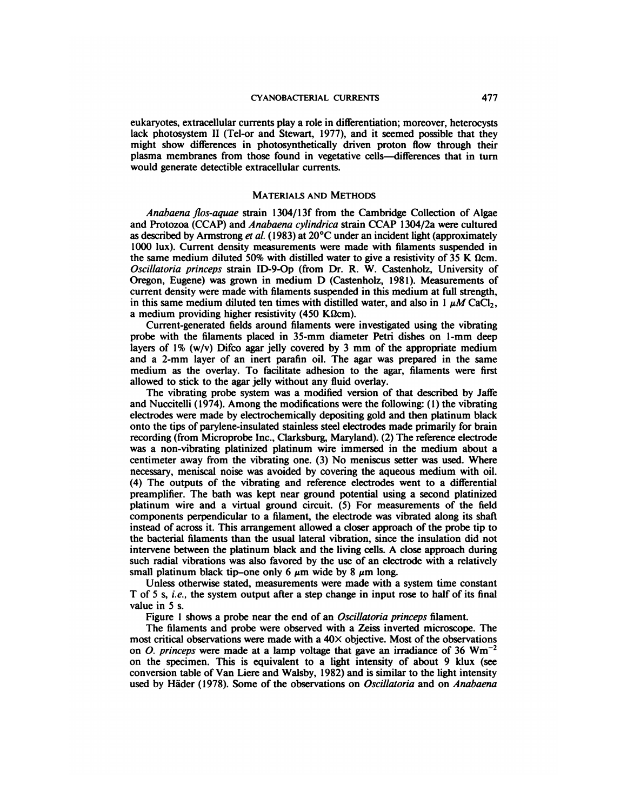eukaryotes, extracellular currents play a role in differentiation; moreover, heterocysts lack photosystem II (Tel-or and Stewart, 1977), and it seemed possible that they might show differences in photosynthetically driven proton flow through their plasma membranes from those found in vegetative cells—differences that in turn would generate detectible extracellular currents.

#### MATERIALS AND METHODS

*Anabaena flos-aquae strain 1304/13f from the Cambridge Collection of Algae* and Protozoa (CCAP) and *Anabaena cylindrica* strain CCAP 1304/2a were cultured as described by Armstrong et al. (1983) at  $20^{\circ}$ C under an incident light (approximately 1000 lux). Current density measurements were made with filaments suspended in the same medium diluted 50% with distilled water to give a resistivity of 35 K  $\Omega$ cm. *Oscillatoria princeps strain ID-9-Op (from Dr. R. W. Castenholz, University of* Oregon, Eugene) was grown in medium D (Castenholz, 198 1). Measurements of current density were made with filaments suspended in this medium at full strength, in this same medium diluted ten times with distilled water, and also in 1  $\mu$ M CaCl<sub>2</sub>, a medium providing higher resistivity (450 K $\Omega$ cm).

Current-generated fields around filaments were investigated using the vibrating probe with the filaments placed in 35-mm diameter Petri dishes on 1-mm deep layers of  $1\%$  (w/v) Difco agar jelly covered by 3 mm of the appropriate medium and a 2-mm layer of an inert parafin oil. The agar was prepared in the same medium as the overlay. To facilitate adhesion to the agar, filaments were first allowed to stick to the agar jelly without any fluid overlay.

The vibrating probe system was a modified version of that described by Jaffe and Nuccitelli (1974). Among the modifications were the following: (1) the vibrating electrodes were made by electrochemically depositing gold and then platinum black onto the tips of parylene-insulated stainless steel electrodes made primarily for brain recording (from Microprobe Inc., Clarksburg, Maryland). (2) The reference electrode was a non-vibrating platinized platinum wire immersed in the medium about a centimeter away from the vibrating one. (3) No meniscus setter was used. Where necessary, meniscal noise was avoided by covering the aqueous medium with oil. (4) The outputs of the vibrating and reference electrodes went to a differential preamplifier. The bath was kept near ground potential using a second platinized platinum wire and a virtual ground circuit. (5) For measurements of the field components perpendicular to a filament, the electrode was vibrated along its shaft instead of across it. This arrangement allowed a closer approach of the probe tip to the bacterial filaments than the usual lateral vibration, since the insulation did not intervene between the platinum black and the living cells. A close approach during such radial vibrations was also favored by the use of an electrode with a relatively small platinum black tip—one only 6  $\mu$ m wide by 8  $\mu$ m long.

Unless otherwise stated, measurements were made with a system time constant T of 5 s, *i.e.*, the system output after a step change in input rose to half of its final value in 5 s.

Figure 1 shows a probe near the end of an *Oscillatoria princeps* filament.

The filaments and probe were observed with a Zeiss inverted microscope. The most critical observations were made with a  $40\times$  objective. Most of the observations on *O. princeps* were made at a lamp voltage that gave an irradiance of 36  $Wm^{-2}$ on the specimen. This is equivalent to a light intensity of about 9 klux (see conversion table of Van Liere and Walsby, 1982) and is similar to the light intensity used by Häder (1978). Some of the observations on *Oscillatoria* and on *Anabaena*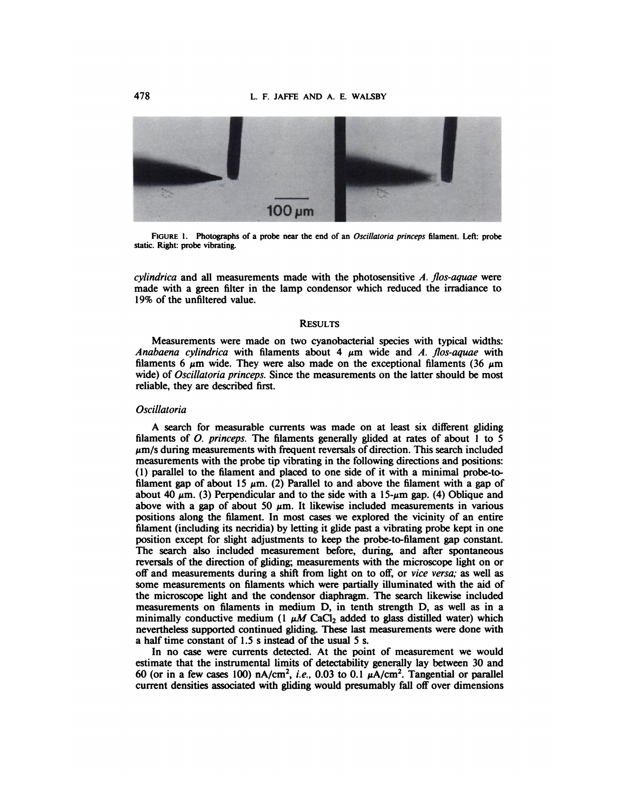

**FIGURE1. Photographsof a probe near the end of an Oscillatoria princeps filament. Left: probe** static. Right: probe vibrating.

*cylindrica and all measurements made with the photosensitive A. flos-aquae were* made with a green filter in the lamp condensor which reduced the irradiance to 19% of the unfiltered value.

### **RESULTS**

Measurements were made on two cyanobacterial species with typical widths: Anabaena *cylindrica* with filaments about 4  $\mu$ m wide and A. flos-aquae with filaments 6  $\mu$ m wide. They were also made on the exceptional filaments (36  $\mu$ m wide) of *Oscillatoria princeps*. Since the measurements on the latter should be most reliable, they are described first.

# *Oscillatoria*

A search for measurable currents was made on at least six different gliding filaments of  $O$ . princeps. The filaments generally glided at rates of about 1 to 5  $\mu$ m/s during measurements with frequent reversals of direction. This search included measurements with the probe tip vibrating in the following directions and positions: (1) parallel to the filament and placed to one side of it with a minimal probe-to filament gap of about 15  $\mu$ m. (2) Parallel to and above the filament with a gap of about 40  $\mu$ m. (3) Perpendicular and to the side with a 15- $\mu$ m gap. (4) Oblique and above with a gap of about 50  $\mu$ m. It likewise included measurements in various positions along the filament. In most cases we explored the vicinity of an entire filament (including its necridia) by letting it glide past a vibrating probe kept in one position except for slight adjustments to keep the probe-to-filament gap constant. The search also included measurement before, during, and after spontaneous reversals of the direction of gliding; measurements with the microscope light on or off and measurements during a shift from light on to off, or *vice versa*; as well as some measurements on filaments which were partially illuminated with the aid of the microscope light and the condensor diaphragm. The search likewise included measurements on filaments in medium D, in tenth strength D, as well as in a minimally conductive medium (1  $\mu$ M CaCl<sub>2</sub> added to glass distilled water) which nevertheless supported continued gliding. These last measurements were done with a half time constant of 1.5 s instead of the usual 5 s.

In no case were currents detected. At the point of measurement we would estimate that the instrumental limits of detectability generally lay between 30 and 60 (or in a few cases 100) nA/cm<sup>2</sup>, i.e., 0.03 to 0.1  $\mu$ A/cm<sup>2</sup>. Tangential or parallel current densities associated with gliding would presumably fall off over dimensions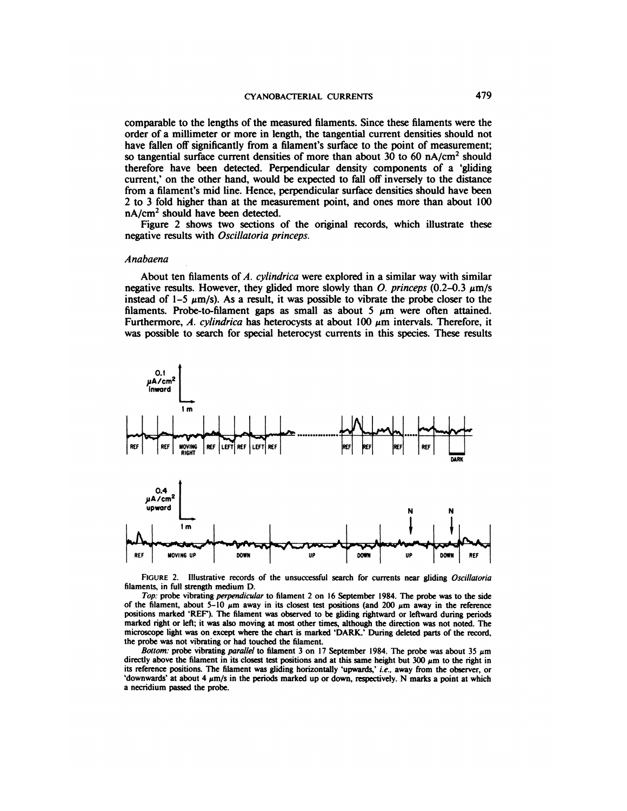comparable to the lengths of the measured filaments. Since these filaments were the order of a millimeter or more in length, the tangential current densities should not have fallen off significantly from a filament's surface to the point of measurement; so tangential surface current densities of more than about 30 to 60 nA/cm<sup>2</sup> should therefore have been detected. Perpendicular density components of a 'gliding current,' on the other hand, would be expected to fall off inversely to the distance from a filament's mid line. Hence, perpendicular surface densities should have been 2 to 3 fold higher than at the measurement point, and ones more than about 100 nA/cm<sup>2</sup> should have been detected.

Figure 2 shows two sections of the original records, which illustrate these negative results with Oscillatoria princeps.

#### *Anabaena*

About ten filaments of  $A$ . cylindrica were explored in a similar way with similar negative results. However, they glided more slowly than O. princeps (0.2–0.3  $\mu$ m/s instead of 1–5  $\mu$ m/s). As a result, it was possible to vibrate the probe closer to the filaments. Probe-to-filament gaps as small as about 5  $\mu$ m were often attained. Furthermore, A. cylindrica has heterocysts at about 100  $\mu$ m intervals. Therefore, it was possible to search for special heterocyst currents in this species. These results



**FIGURE 2. Illustrative records of the unsuccessful search for currents near gliding Oscillatoria** filaments, in full strength medium D.

Top: probe vibrating perpendicular to filament 2 on 16 September 1984. The probe was to the side of the filament, about 5–10  $\mu$ m away in its closest test positions (and 200  $\mu$ m away in the reference positions marked 'REF'). The filament was observed to be gliding rightward or leftward during periods marked right or left; it was also moving at most other times, although the direction was not noted. The microscope light was on except where the chart is marked 'DARK.' During deleted parts of the record, the probe was not vibrating or had touched the filament.

**Bottom:** probe vibrating parallel to filament 3 on 17 September 1984. The probe was about 35  $\mu$ m directly above the filament in its closest test positions and at this same height but  $300 \mu m$  to the right in its reference positions. The filament was gliding horizontally 'upwards,' i.e., away from the observer, or 'downwards' at about 4  $\mu$ m/s in the periods marked up or down, respectively. N marks a point at which a necridium passed the probe.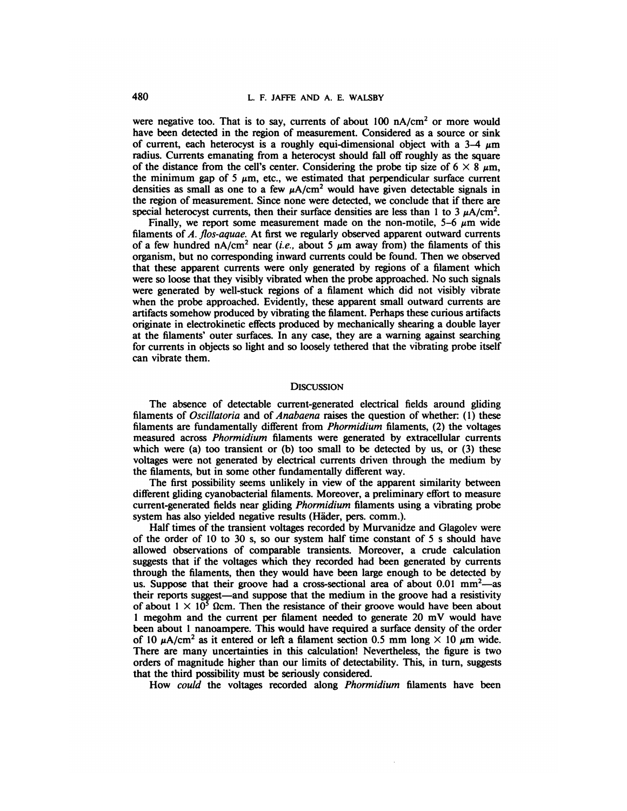were negative too. That is to say, currents of about  $100 \text{ nA/cm}^2$  or more would have been detected in the region of measurement. Considered as a source or sink of current, each heterocyst is a roughly equi-dimensional object with a  $3-4 \mu m$ radius. Currents emanating from a heterocyst should fall off roughly as the square of the distance from the cell's center. Considering the probe tip size of  $6 \times 8 \mu m$ , the minimum gap of 5  $\mu$ m, etc., we estimated that perpendicular surface current densities as small as one to a few  $\mu A/cm^2$  would have given detectable signals in the region of measurement. Since none were detected, we conclude that if there are special heterocyst currents, then their surface densities are less than 1 to 3  $\mu$ A/cm<sup>2</sup>.

Finally, we report some measurement made on the non-motile,  $5-6 \mu m$  wide filaments of A. fios-aquae. At first we regularly observed apparent outward currents of a few hundred nA/cm<sup>2</sup> near (i.e., about 5  $\mu$ m away from) the filaments of this organism, but no corresponding inward currents could be found. Then we observed that these apparent currents were only generated by regions of a filament which were so loose that they visibly vibrated when the probe approached. No such signals were generated by well-stuck regions of a filament which did not visibly vibrate when the probe approached. Evidently, these apparent small outward currents are artifacts somehow produced by vibrating the filament. Perhaps these curious artifacts originate in electrokinetic effects produced by mechanically shearing a double layer at the filaments' outer surfaces. In any case, they are a warning against searching for currents in objects so light and so loosely tethered that the vibrating probe itself can vibrate them.

### **DISCUSSION**

The absence of detectable current-generated electrical fields around gliding filaments of Oscillatoria and of Anabaena raises the question of whether: (1) these filaments are fundamentally different from Phormidium filaments, (2) the voltages measured across Phormidium filaments were generated by extracellular currents which were (a) too transient or (b) too small to be detected by us, or (3) these voltages were not generated by electrical currents driven through the medium by the filaments, but in some other fundamentally different way.

The first possibility seems unlikely in view of the apparent similarity between different gliding cyanobacterial filaments. Moreover, a preliminary effort to measure current-generated fields near gliding Phormidium filaments using a vibrating probe system has also yielded negative results (Häder, pers. comm.).

Half times of the transient voltages recorded by Murvanidze and Glagolev were of the order of 10 to 30 s, so our system half time constant of 5 sshould have allowed observations of comparable transients. Moreover, a crude calculation suggests that if the voltages which they recorded had been generated by currents through the filaments, then they would have been large enough to be detected by us. Suppose that their groove had a cross-sectional area of about  $0.01 \text{ mm}^2$ —as their reports suggest—and suppose that the medium in the groove had a resistivity of about  $1 \times 10^5$  Ωcm. Then the resistance of their groove would have been about 1 megohm and the current per filament needed to generate 20 mV would have been about 1 nanoampere. This would have required a surface density of the order of 10  $\mu$ A/cm<sup>2</sup> as it entered or left a filament section 0.5 mm long  $\times$  10  $\mu$ m wide. There are many uncertainties in this calculation! Nevertheless, the figure is two orders of magnitude higher than our limits of detectability. This, in turn, suggests that the third possibility must be seriously considered.

How could the voltages recorded along Phormidium filaments have been